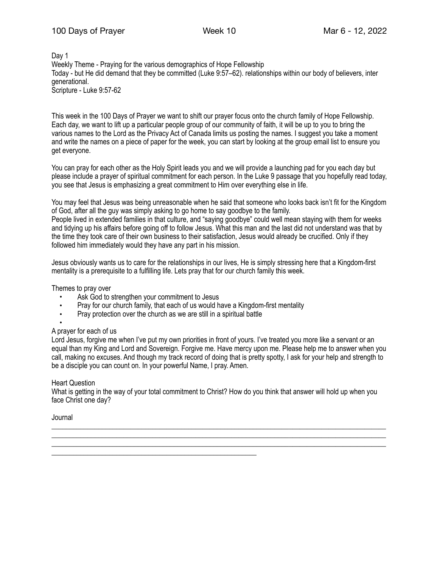Day 1 Weekly Theme - Praying for the various demographics of Hope Fellowship Today - but He did demand that they be committed (Luke 9:57–62). relationships within our body of believers, inter generational. Scripture - Luke 9:57-62

This week in the 100 Days of Prayer we want to shift our prayer focus onto the church family of Hope Fellowship. Each day, we want to lift up a particular people group of our community of faith, it will be up to you to bring the various names to the Lord as the Privacy Act of Canada limits us posting the names. I suggest you take a moment and write the names on a piece of paper for the week, you can start by looking at the group email list to ensure you get everyone.

You can pray for each other as the Holy Spirit leads you and we will provide a launching pad for you each day but please include a prayer of spiritual commitment for each person. In the Luke 9 passage that you hopefully read today, you see that Jesus is emphasizing a great commitment to Him over everything else in life.

You may feel that Jesus was being unreasonable when he said that someone who looks back isn't fit for the Kingdom of God, after all the guy was simply asking to go home to say goodbye to the family. People lived in extended families in that culture, and "saying goodbye" could well mean staying with them for weeks and tidying up his affairs before going off to follow Jesus. What this man and the last did not understand was that by the time they took care of their own business to their satisfaction, Jesus would already be crucified. Only if they followed him immediately would they have any part in his mission.

Jesus obviously wants us to care for the relationships in our lives, He is simply stressing here that a Kingdom-first mentality is a prerequisite to a fulfilling life. Lets pray that for our church family this week.

Themes to pray over

- Ask God to strengthen your commitment to Jesus
- Pray for our church family, that each of us would have a Kingdom-first mentality<br>• Pray protection over the church as we are still in a spiritual battle
- Pray protection over the church as we are still in a spiritual battle

\_\_\_\_\_\_\_\_\_\_\_\_\_\_\_\_\_\_\_\_\_\_\_\_\_\_\_\_\_\_\_\_\_\_\_\_\_\_\_\_\_\_\_\_\_\_\_\_\_\_\_\_\_\_\_\_\_

#### • A prayer for each of us

Lord Jesus, forgive me when I've put my own priorities in front of yours. I've treated you more like a servant or an equal than my King and Lord and Sovereign. Forgive me. Have mercy upon me. Please help me to answer when you call, making no excuses. And though my track record of doing that is pretty spotty, I ask for your help and strength to be a disciple you can count on. In your powerful Name, I pray. Amen.

### Heart Question

What is getting in the way of your total commitment to Christ? How do you think that answer will hold up when you face Christ one day?

\_\_\_\_\_\_\_\_\_\_\_\_\_\_\_\_\_\_\_\_\_\_\_\_\_\_\_\_\_\_\_\_\_\_\_\_\_\_\_\_\_\_\_\_\_\_\_\_\_\_\_\_\_\_\_\_\_\_\_\_\_\_\_\_\_\_\_\_\_\_\_\_\_\_\_\_\_\_\_\_\_\_\_\_\_\_\_\_\_\_\_\_\_ \_\_\_\_\_\_\_\_\_\_\_\_\_\_\_\_\_\_\_\_\_\_\_\_\_\_\_\_\_\_\_\_\_\_\_\_\_\_\_\_\_\_\_\_\_\_\_\_\_\_\_\_\_\_\_\_\_\_\_\_\_\_\_\_\_\_\_\_\_\_\_\_\_\_\_\_\_\_\_\_\_\_\_\_\_\_\_\_\_\_\_\_\_ \_\_\_\_\_\_\_\_\_\_\_\_\_\_\_\_\_\_\_\_\_\_\_\_\_\_\_\_\_\_\_\_\_\_\_\_\_\_\_\_\_\_\_\_\_\_\_\_\_\_\_\_\_\_\_\_\_\_\_\_\_\_\_\_\_\_\_\_\_\_\_\_\_\_\_\_\_\_\_\_\_\_\_\_\_\_\_\_\_\_\_\_\_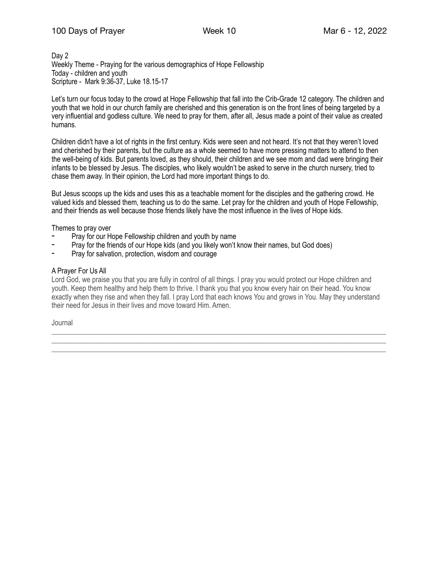## 100 Days of Prayer Week 10 Mar 6 - 12, 2022

### Day 2 Weekly Theme - Praying for the various demographics of Hope Fellowship Today - children and youth Scripture - Mark 9:36-37, Luke 18.15-17

Let's turn our focus today to the crowd at Hope Fellowship that fall into the Crib-Grade 12 category. The children and youth that we hold in our church family are cherished and this generation is on the front lines of being targeted by a very influential and godless culture. We need to pray for them, after all, Jesus made a point of their value as created humans.

Children didn't have a lot of rights in the first century. Kids were seen and not heard. It's not that they weren't loved and cherished by their parents, but the culture as a whole seemed to have more pressing matters to attend to then the well-being of kids. But parents loved, as they should, their children and we see mom and dad were bringing their infants to be blessed by Jesus. The disciples, who likely wouldn't be asked to serve in the church nursery, tried to chase them away. In their opinion, the Lord had more important things to do.

But Jesus scoops up the kids and uses this as a teachable moment for the disciples and the gathering crowd. He valued kids and blessed them, teaching us to do the same. Let pray for the children and youth of Hope Fellowship, and their friends as well because those friends likely have the most influence in the lives of Hope kids.

Themes to pray over

- Pray for our Hope Fellowship children and youth by name
- Pray for the friends of our Hope kids (and you likely won't know their names, but God does)
- Pray for salvation, protection, wisdom and courage

### A Prayer For Us All

Lord God, we praise you that you are fully in control of all things. I pray you would protect our Hope children and youth. Keep them healthy and help them to thrive. I thank you that you know every hair on their head. You know exactly when they rise and when they fall. I pray Lord that each knows You and grows in You. May they understand their need for Jesus in their lives and move toward Him. Amen.

\_\_\_\_\_\_\_\_\_\_\_\_\_\_\_\_\_\_\_\_\_\_\_\_\_\_\_\_\_\_\_\_\_\_\_\_\_\_\_\_\_\_\_\_\_\_\_\_\_\_\_\_\_\_\_\_\_\_\_\_\_\_\_\_\_\_\_\_\_\_\_\_\_\_\_\_\_\_\_\_\_\_\_\_\_\_\_\_\_\_\_\_\_ \_\_\_\_\_\_\_\_\_\_\_\_\_\_\_\_\_\_\_\_\_\_\_\_\_\_\_\_\_\_\_\_\_\_\_\_\_\_\_\_\_\_\_\_\_\_\_\_\_\_\_\_\_\_\_\_\_\_\_\_\_\_\_\_\_\_\_\_\_\_\_\_\_\_\_\_\_\_\_\_\_\_\_\_\_\_\_\_\_\_\_\_\_ \_\_\_\_\_\_\_\_\_\_\_\_\_\_\_\_\_\_\_\_\_\_\_\_\_\_\_\_\_\_\_\_\_\_\_\_\_\_\_\_\_\_\_\_\_\_\_\_\_\_\_\_\_\_\_\_\_\_\_\_\_\_\_\_\_\_\_\_\_\_\_\_\_\_\_\_\_\_\_\_\_\_\_\_\_\_\_\_\_\_\_\_\_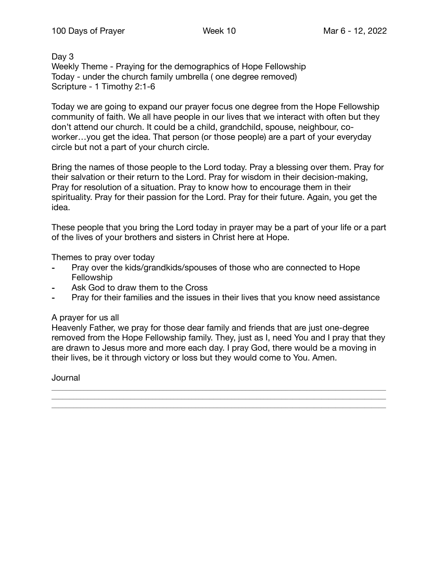Day 3 Weekly Theme - Praying for the demographics of Hope Fellowship Today - under the church family umbrella ( one degree removed) Scripture - 1 Timothy 2:1-6

Today we are going to expand our prayer focus one degree from the Hope Fellowship community of faith. We all have people in our lives that we interact with often but they don't attend our church. It could be a child, grandchild, spouse, neighbour, coworker…you get the idea. That person (or those people) are a part of your everyday circle but not a part of your church circle.

Bring the names of those people to the Lord today. Pray a blessing over them. Pray for their salvation or their return to the Lord. Pray for wisdom in their decision-making, Pray for resolution of a situation. Pray to know how to encourage them in their spirituality. Pray for their passion for the Lord. Pray for their future. Again, you get the idea.

These people that you bring the Lord today in prayer may be a part of your life or a part of the lives of your brothers and sisters in Christ here at Hope.

Themes to pray over today

- Pray over the kids/grandkids/spouses of those who are connected to Hope Fellowship
- Ask God to draw them to the Cross
- ⁃ Pray for their families and the issues in their lives that you know need assistance

# A prayer for us all

Heavenly Father, we pray for those dear family and friends that are just one-degree removed from the Hope Fellowship family. They, just as I, need You and I pray that they are drawn to Jesus more and more each day. I pray God, there would be a moving in their lives, be it through victory or loss but they would come to You. Amen.

\_\_\_\_\_\_\_\_\_\_\_\_\_\_\_\_\_\_\_\_\_\_\_\_\_\_\_\_\_\_\_\_\_\_\_\_\_\_\_\_\_\_\_\_\_\_\_\_\_\_\_\_\_\_\_\_\_\_\_\_\_\_\_\_\_\_\_\_\_\_\_\_\_\_\_\_\_\_\_\_\_\_\_\_\_\_\_\_\_\_\_\_\_ \_\_\_\_\_\_\_\_\_\_\_\_\_\_\_\_\_\_\_\_\_\_\_\_\_\_\_\_\_\_\_\_\_\_\_\_\_\_\_\_\_\_\_\_\_\_\_\_\_\_\_\_\_\_\_\_\_\_\_\_\_\_\_\_\_\_\_\_\_\_\_\_\_\_\_\_\_\_\_\_\_\_\_\_\_\_\_\_\_\_\_\_\_ \_\_\_\_\_\_\_\_\_\_\_\_\_\_\_\_\_\_\_\_\_\_\_\_\_\_\_\_\_\_\_\_\_\_\_\_\_\_\_\_\_\_\_\_\_\_\_\_\_\_\_\_\_\_\_\_\_\_\_\_\_\_\_\_\_\_\_\_\_\_\_\_\_\_\_\_\_\_\_\_\_\_\_\_\_\_\_\_\_\_\_\_\_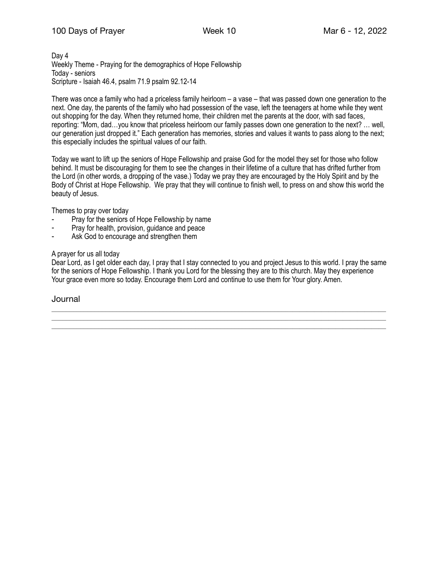Day 4 Weekly Theme - Praying for the demographics of Hope Fellowship Today - seniors Scripture - Isaiah 46.4, psalm 71.9 psalm 92.12-14

There was once a family who had a priceless family heirloom – a vase – that was passed down one generation to the next. One day, the parents of the family who had possession of the vase, left the teenagers at home while they went out shopping for the day. When they returned home, their children met the parents at the door, with sad faces, reporting: "Mom, dad…you know that priceless heirloom our family passes down one generation to the next? … well, our generation just dropped it." Each generation has memories, stories and values it wants to pass along to the next; this especially includes the spiritual values of our faith.

Today we want to lift up the seniors of Hope Fellowship and praise God for the model they set for those who follow behind. It must be discouraging for them to see the changes in their lifetime of a culture that has drifted further from the Lord (in other words, a dropping of the vase.) Today we pray they are encouraged by the Holy Spirit and by the Body of Christ at Hope Fellowship. We pray that they will continue to finish well, to press on and show this world the beauty of Jesus.

Themes to pray over today

- Pray for the seniors of Hope Fellowship by name
- Pray for health, provision, guidance and peace
- Ask God to encourage and strengthen them

## A prayer for us all today

Dear Lord, as I get older each day, I pray that I stay connected to you and project Jesus to this world. I pray the same for the seniors of Hope Fellowship. I thank you Lord for the blessing they are to this church. May they experience Your grace even more so today. Encourage them Lord and continue to use them for Your glory. Amen.

\_\_\_\_\_\_\_\_\_\_\_\_\_\_\_\_\_\_\_\_\_\_\_\_\_\_\_\_\_\_\_\_\_\_\_\_\_\_\_\_\_\_\_\_\_\_\_\_\_\_\_\_\_\_\_\_\_\_\_\_\_\_\_\_\_\_\_\_\_\_\_\_\_\_\_\_\_\_\_\_\_\_\_\_\_\_\_\_\_\_\_\_\_ \_\_\_\_\_\_\_\_\_\_\_\_\_\_\_\_\_\_\_\_\_\_\_\_\_\_\_\_\_\_\_\_\_\_\_\_\_\_\_\_\_\_\_\_\_\_\_\_\_\_\_\_\_\_\_\_\_\_\_\_\_\_\_\_\_\_\_\_\_\_\_\_\_\_\_\_\_\_\_\_\_\_\_\_\_\_\_\_\_\_\_\_\_ \_\_\_\_\_\_\_\_\_\_\_\_\_\_\_\_\_\_\_\_\_\_\_\_\_\_\_\_\_\_\_\_\_\_\_\_\_\_\_\_\_\_\_\_\_\_\_\_\_\_\_\_\_\_\_\_\_\_\_\_\_\_\_\_\_\_\_\_\_\_\_\_\_\_\_\_\_\_\_\_\_\_\_\_\_\_\_\_\_\_\_\_\_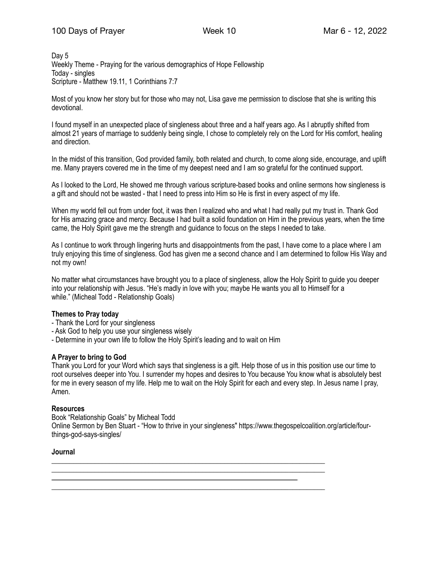Day 5 Weekly Theme - Praying for the various demographics of Hope Fellowship Today - singles Scripture - Matthew 19.11, 1 Corinthians 7:7

Most of you know her story but for those who may not, Lisa gave me permission to disclose that she is writing this devotional.

I found myself in an unexpected place of singleness about three and a half years ago. As I abruptly shifted from almost 21 years of marriage to suddenly being single, I chose to completely rely on the Lord for His comfort, healing and direction.

In the midst of this transition, God provided family, both related and church, to come along side, encourage, and uplift me. Many prayers covered me in the time of my deepest need and I am so grateful for the continued support.

As I looked to the Lord, He showed me through various scripture-based books and online sermons how singleness is a gift and should not be wasted - that I need to press into Him so He is first in every aspect of my life.

When my world fell out from under foot, it was then I realized who and what I had really put my trust in. Thank God for His amazing grace and mercy. Because I had built a solid foundation on Him in the previous years, when the time came, the Holy Spirit gave me the strength and guidance to focus on the steps I needed to take.

As I continue to work through lingering hurts and disappointments from the past, I have come to a place where I am truly enjoying this time of singleness. God has given me a second chance and I am determined to follow His Way and not my own!

No matter what circumstances have brought you to a place of singleness, allow the Holy Spirit to guide you deeper into your relationship with Jesus. "He's madly in love with you; maybe He wants you all to Himself for a while." (Micheal Todd - Relationship Goals)

### **Themes to Pray today**

- Thank the Lord for your singleness
- Ask God to help you use your singleness wisely
- Determine in your own life to follow the Holy Spirit's leading and to wait on Him

### **A Prayer to bring to God**

Thank you Lord for your Word which says that singleness is a gift. Help those of us in this position use our time to root ourselves deeper into You. I surrender my hopes and desires to You because You know what is absolutely best for me in every season of my life. Help me to wait on the Holy Spirit for each and every step. In Jesus name I pray, Amen.

### **Resources**

Book "Relationship Goals" by Micheal Todd Online Sermon by Ben Stuart - "How to thrive in your singleness" https://www.thegospelcoalition.org/article/fourthings-god-says-singles/

\_\_\_\_\_\_\_\_\_\_\_\_\_\_\_\_\_\_\_\_\_\_\_\_\_\_\_\_\_\_\_\_\_\_\_\_\_\_\_\_\_\_\_\_\_\_\_\_\_\_\_\_\_\_\_\_\_\_\_\_\_\_\_\_\_\_\_\_\_\_\_\_\_\_\_\_ \_\_\_\_\_\_\_\_\_\_\_\_\_\_\_\_\_\_\_\_\_\_\_\_\_\_\_\_\_\_\_\_\_\_\_\_\_\_\_\_\_\_\_\_\_\_\_\_\_\_\_\_\_\_\_\_\_\_\_\_\_\_\_\_\_\_\_\_\_\_\_\_\_\_\_\_

\_\_\_\_\_\_\_\_\_\_\_\_\_\_\_\_\_\_\_\_\_\_\_\_\_\_\_\_\_\_\_\_\_\_\_\_\_\_\_\_\_\_\_\_\_\_\_\_\_\_\_\_\_\_\_\_\_\_\_\_\_\_\_\_\_\_\_\_\_\_\_\_\_\_\_\_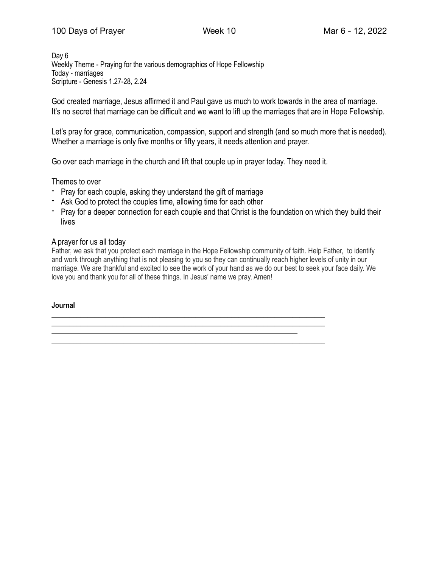Day 6 Weekly Theme - Praying for the various demographics of Hope Fellowship Today - marriages Scripture - Genesis 1.27-28, 2.24

God created marriage, Jesus affirmed it and Paul gave us much to work towards in the area of marriage. It's no secret that marriage can be difficult and we want to lift up the marriages that are in Hope Fellowship.

Let's pray for grace, communication, compassion, support and strength (and so much more that is needed). Whether a marriage is only five months or fifty years, it needs attention and prayer.

Go over each marriage in the church and lift that couple up in prayer today. They need it.

\_\_\_\_\_\_\_\_\_\_\_\_\_\_\_\_\_\_\_\_\_\_\_\_\_\_\_\_\_\_\_\_\_\_\_\_\_\_\_\_\_\_\_\_\_\_\_\_\_\_\_\_\_\_\_\_\_\_\_\_\_\_\_\_\_\_\_\_\_\_\_\_\_\_\_\_ \_\_\_\_\_\_\_\_\_\_\_\_\_\_\_\_\_\_\_\_\_\_\_\_\_\_\_\_\_\_\_\_\_\_\_\_\_\_\_\_\_\_\_\_\_\_\_\_\_\_\_\_\_\_\_\_\_\_\_\_\_\_\_\_\_\_\_\_\_\_\_\_\_\_\_\_

\_\_\_\_\_\_\_\_\_\_\_\_\_\_\_\_\_\_\_\_\_\_\_\_\_\_\_\_\_\_\_\_\_\_\_\_\_\_\_\_\_\_\_\_\_\_\_\_\_\_\_\_\_\_\_\_\_\_\_\_\_\_\_\_\_\_\_\_\_\_\_\_\_\_\_\_

Themes to over

- Pray for each couple, asking they understand the gift of marriage
- Ask God to protect the couples time, allowing time for each other
- Pray for a deeper connection for each couple and that Christ is the foundation on which they build their lives

## A prayer for us all today

Father, we ask that you protect each marriage in the Hope Fellowship community of faith. Help Father, to identify and work through anything that is not pleasing to you so they can continually reach higher levels of unity in our marriage. We are thankful and excited to see the work of your hand as we do our best to seek your face daily. We love you and thank you for all of these things. In Jesus' name we pray. Amen!